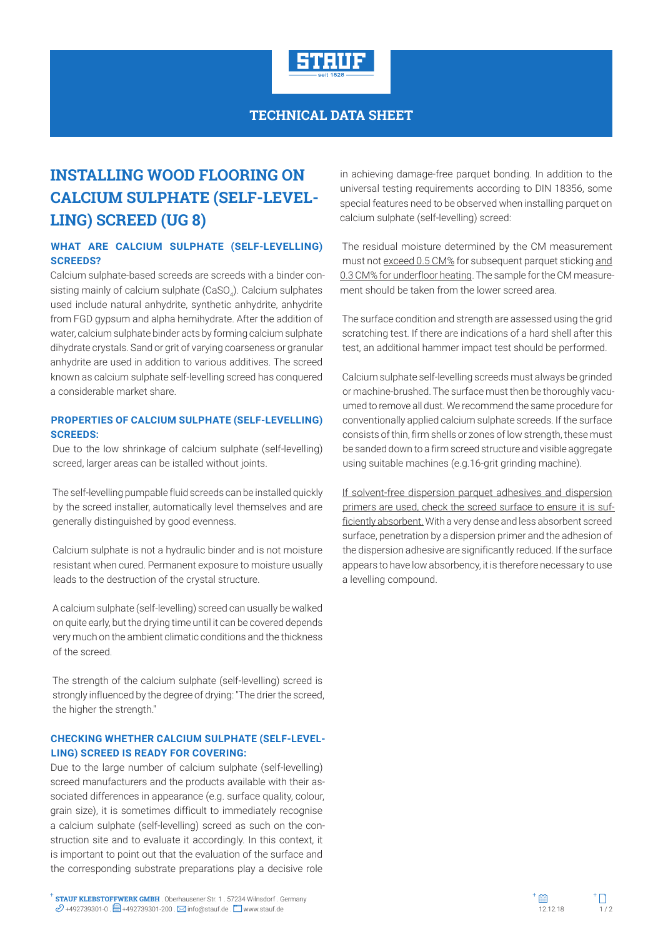

### **TECHNICAL DATA SHEET**

# **INSTALLING WOOD FLOORING ON CALCIUM SULPHATE (SELF-LEVEL-LING) SCREED (UG 8)**

#### **WHAT ARE CALCIUM SULPHATE (SELF-LEVELLING) SCREEDS?**

Calcium sulphate-based screeds are screeds with a binder consisting mainly of calcium sulphate (CaSO<sub>4</sub>). Calcium sulphates used include natural anhydrite, synthetic anhydrite, anhydrite from FGD gypsum and alpha hemihydrate. After the addition of water, calcium sulphate binder acts by forming calcium sulphate dihydrate crystals. Sand or grit of varying coarseness or granular anhydrite are used in addition to various additives. The screed known as calcium sulphate self-levelling screed has conquered a considerable market share.

#### **PROPERTIES OF CALCIUM SULPHATE (SELF-LEVELLING) SCREEDS:**

Due to the low shrinkage of calcium sulphate (self-levelling) screed, larger areas can be istalled without joints.

The self-levelling pumpable fluid screeds can be installed quickly by the screed installer, automatically level themselves and are generally distinguished by good evenness.

Calcium sulphate is not a hydraulic binder and is not moisture resistant when cured. Permanent exposure to moisture usually leads to the destruction of the crystal structure.

A calcium sulphate (self-levelling) screed can usually be walked on quite early, but the drying time until it can be covered depends very much on the ambient climatic conditions and the thickness of the screed.

The strength of the calcium sulphate (self-levelling) screed is strongly influenced by the degree of drying: "The drier the screed, the higher the strength."

#### **CHECKING WHETHER CALCIUM SULPHATE (SELF-LEVEL-LING) SCREED IS READY FOR COVERING:**

Due to the large number of calcium sulphate (self-levelling) screed manufacturers and the products available with their associated differences in appearance (e.g. surface quality, colour, grain size), it is sometimes difficult to immediately recognise a calcium sulphate (self-levelling) screed as such on the construction site and to evaluate it accordingly. In this context, it is important to point out that the evaluation of the surface and the corresponding substrate preparations play a decisive role

in achieving damage-free parquet bonding. In addition to the universal testing requirements according to DIN 18356, some special features need to be observed when installing parquet on calcium sulphate (self-levelling) screed:

The residual moisture determined by the CM measurement must not exceed 0.5 CM% for subsequent parquet sticking and 0.3 CM% for underfloor heating. The sample for the CM measurement should be taken from the lower screed area.

The surface condition and strength are assessed using the grid scratching test. If there are indications of a hard shell after this test, an additional hammer impact test should be performed.

Calcium sulphate self-levelling screeds must always be grinded or machine-brushed. The surface must then be thoroughly vacuumed to remove all dust. We recommend the same procedure for conventionally applied calcium sulphate screeds. If the surface consists of thin, firm shells or zones of low strength, these must be sanded down to a firm screed structure and visible aggregate using suitable machines (e.g.16-grit grinding machine).

If solvent-free dispersion parquet adhesives and dispersion primers are used, check the screed surface to ensure it is sufficiently absorbent. With a very dense and less absorbent screed surface, penetration by a dispersion primer and the adhesion of the dispersion adhesive are significantly reduced. If the surface appears to have low absorbency, it is therefore necessary to use a levelling compound.